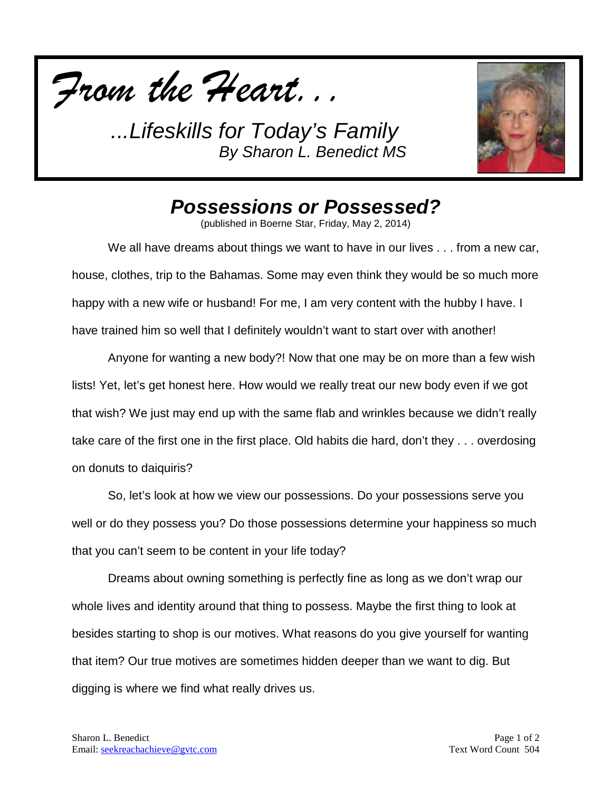



## *Possessions or Possessed?*

(published in Boerne Star, Friday, May 2, 2014)

We all have dreams about things we want to have in our lives . . . from a new car, house, clothes, trip to the Bahamas. Some may even think they would be so much more happy with a new wife or husband! For me, I am very content with the hubby I have. I have trained him so well that I definitely wouldn't want to start over with another!

Anyone for wanting a new body?! Now that one may be on more than a few wish lists! Yet, let's get honest here. How would we really treat our new body even if we got that wish? We just may end up with the same flab and wrinkles because we didn't really take care of the first one in the first place. Old habits die hard, don't they . . . overdosing on donuts to daiquiris?

So, let's look at how we view our possessions. Do your possessions serve you well or do they possess you? Do those possessions determine your happiness so much that you can't seem to be content in your life today?

Dreams about owning something is perfectly fine as long as we don't wrap our whole lives and identity around that thing to possess. Maybe the first thing to look at besides starting to shop is our motives. What reasons do you give yourself for wanting that item? Our true motives are sometimes hidden deeper than we want to dig. But digging is where we find what really drives us.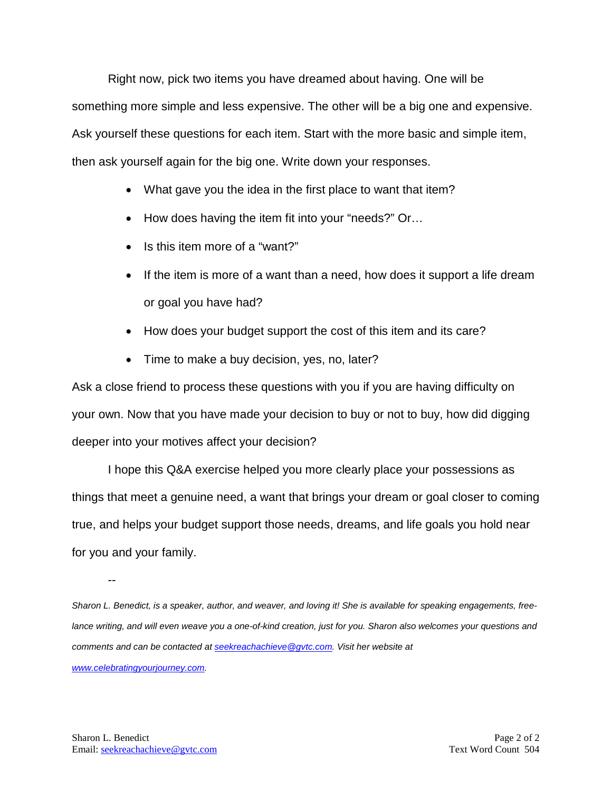Right now, pick two items you have dreamed about having. One will be something more simple and less expensive. The other will be a big one and expensive. Ask yourself these questions for each item. Start with the more basic and simple item, then ask yourself again for the big one. Write down your responses.

- What gave you the idea in the first place to want that item?
- How does having the item fit into your "needs?" Or...
- Is this item more of a "want?"
- If the item is more of a want than a need, how does it support a life dream or goal you have had?
- How does your budget support the cost of this item and its care?
- Time to make a buy decision, yes, no, later?

Ask a close friend to process these questions with you if you are having difficulty on your own. Now that you have made your decision to buy or not to buy, how did digging deeper into your motives affect your decision?

I hope this Q&A exercise helped you more clearly place your possessions as things that meet a genuine need, a want that brings your dream or goal closer to coming true, and helps your budget support those needs, dreams, and life goals you hold near for you and your family.

--

*Sharon L. Benedict, is a speaker, author, and weaver, and loving it! She is available for speaking engagements, free*lance writing, and will even weave you a one-of-kind creation, just for you. Sharon also welcomes your questions and *comments and can be contacted a[t seekreachachieve@gvtc.com.](mailto:seekreachachieve@gvtc.com) Visit her website at* 

*[www.celebratingyourjourney.com.](http://www.celebratingyourjourney.com/)*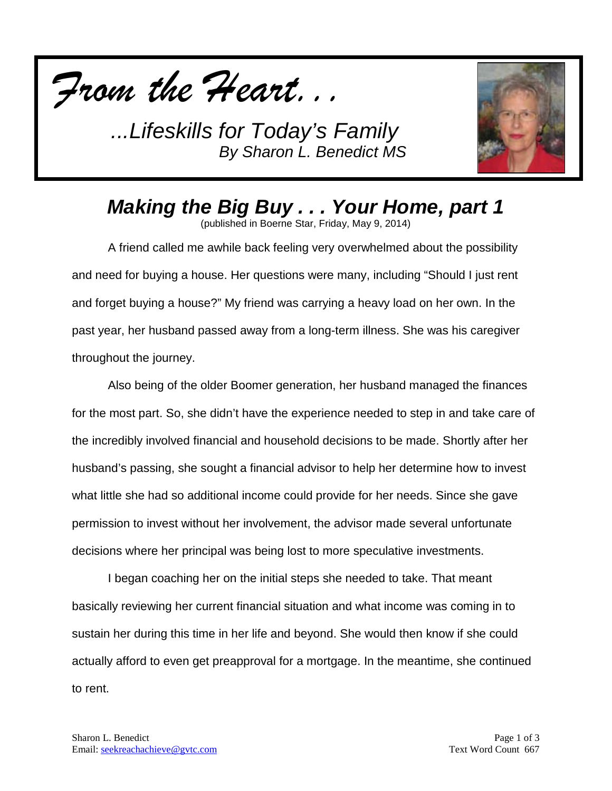



*Making the Big Buy . . . Your Home, part 1*

(published in Boerne Star, Friday, May 9, 2014)

A friend called me awhile back feeling very overwhelmed about the possibility and need for buying a house. Her questions were many, including "Should I just rent and forget buying a house?" My friend was carrying a heavy load on her own. In the past year, her husband passed away from a long-term illness. She was his caregiver throughout the journey.

Also being of the older Boomer generation, her husband managed the finances for the most part. So, she didn't have the experience needed to step in and take care of the incredibly involved financial and household decisions to be made. Shortly after her husband's passing, she sought a financial advisor to help her determine how to invest what little she had so additional income could provide for her needs. Since she gave permission to invest without her involvement, the advisor made several unfortunate decisions where her principal was being lost to more speculative investments.

I began coaching her on the initial steps she needed to take. That meant basically reviewing her current financial situation and what income was coming in to sustain her during this time in her life and beyond. She would then know if she could actually afford to even get preapproval for a mortgage. In the meantime, she continued to rent.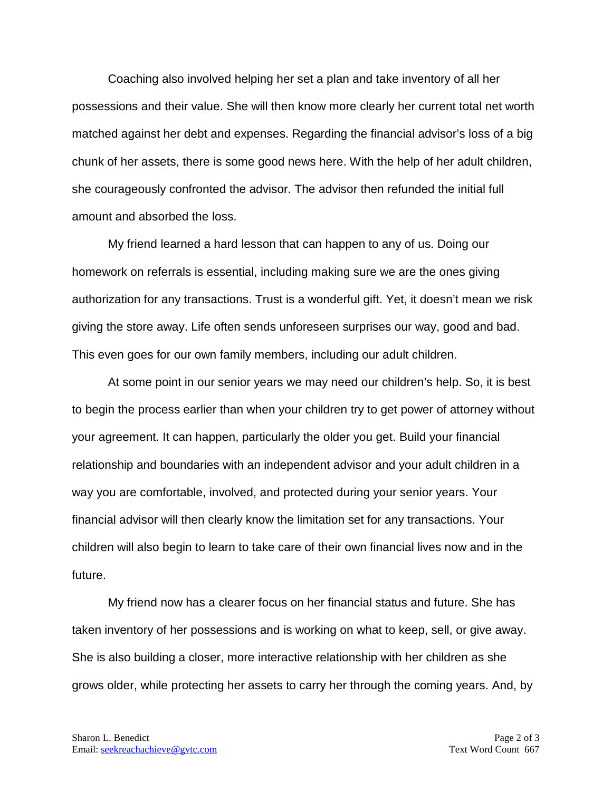Coaching also involved helping her set a plan and take inventory of all her possessions and their value. She will then know more clearly her current total net worth matched against her debt and expenses. Regarding the financial advisor's loss of a big chunk of her assets, there is some good news here. With the help of her adult children, she courageously confronted the advisor. The advisor then refunded the initial full amount and absorbed the loss.

My friend learned a hard lesson that can happen to any of us. Doing our homework on referrals is essential, including making sure we are the ones giving authorization for any transactions. Trust is a wonderful gift. Yet, it doesn't mean we risk giving the store away. Life often sends unforeseen surprises our way, good and bad. This even goes for our own family members, including our adult children.

At some point in our senior years we may need our children's help. So, it is best to begin the process earlier than when your children try to get power of attorney without your agreement. It can happen, particularly the older you get. Build your financial relationship and boundaries with an independent advisor and your adult children in a way you are comfortable, involved, and protected during your senior years. Your financial advisor will then clearly know the limitation set for any transactions. Your children will also begin to learn to take care of their own financial lives now and in the future.

My friend now has a clearer focus on her financial status and future. She has taken inventory of her possessions and is working on what to keep, sell, or give away. She is also building a closer, more interactive relationship with her children as she grows older, while protecting her assets to carry her through the coming years. And, by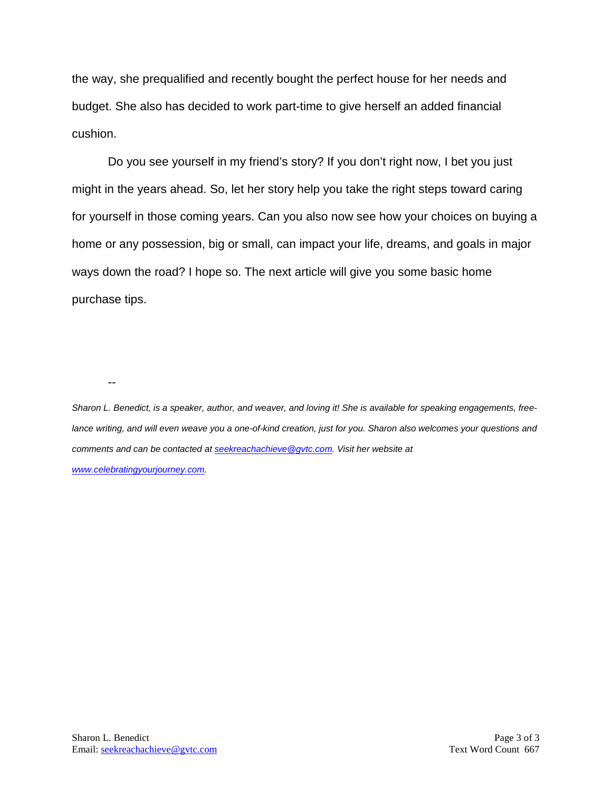the way, she prequalified and recently bought the perfect house for her needs and budget. She also has decided to work part-time to give herself an added financial cushion.

Do you see yourself in my friend's story? If you don't right now, I bet you just might in the years ahead. So, let her story help you take the right steps toward caring for yourself in those coming years. Can you also now see how your choices on buying a home or any possession, big or small, can impact your life, dreams, and goals in major ways down the road? I hope so. The next article will give you some basic home purchase tips.

--

*Sharon L. Benedict, is a speaker, author, and weaver, and loving it! She is available for speaking engagements, freelance writing, and will even weave you a one-of-kind creation, just for you. Sharon also welcomes your questions and comments and can be contacted a[t seekreachachieve@gvtc.com.](mailto:seekreachachieve@gvtc.com) Visit her website at [www.celebratingyourjourney.com.](http://www.celebratingyourjourney.com/)*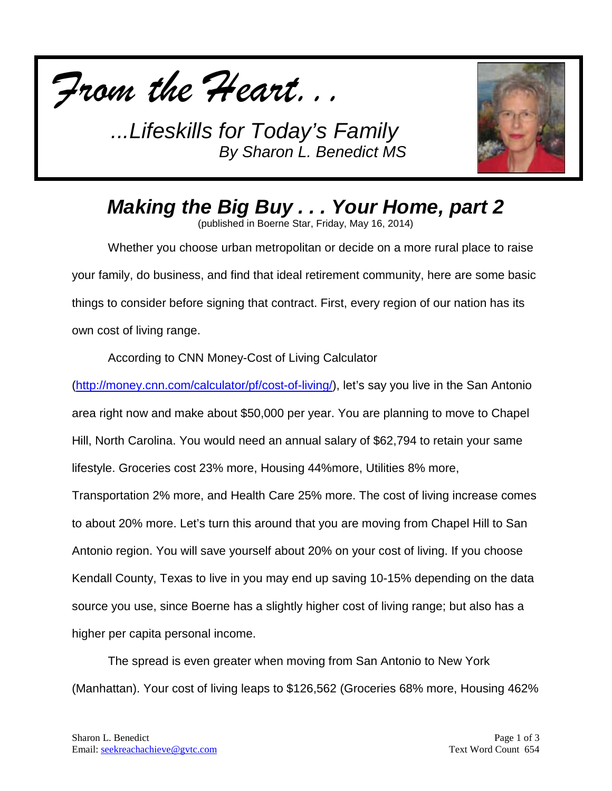



*Making the Big Buy . . . Your Home, part 2*

(published in Boerne Star, Friday, May 16, 2014)

Whether you choose urban metropolitan or decide on a more rural place to raise your family, do business, and find that ideal retirement community, here are some basic things to consider before signing that contract. First, every region of our nation has its own cost of living range.

According to CNN Money-Cost of Living Calculator

[\(http://money.cnn.com/calculator/pf/cost-of-living/\)](http://money.cnn.com/calculator/pf/cost-of-living/), let's say you live in the San Antonio area right now and make about \$50,000 per year. You are planning to move to Chapel Hill, North Carolina. You would need an annual salary of \$62,794 to retain your same lifestyle. Groceries cost 23% more, Housing 44%more, Utilities 8% more, Transportation 2% more, and Health Care 25% more. The cost of living increase comes to about 20% more. Let's turn this around that you are moving from Chapel Hill to San Antonio region. You will save yourself about 20% on your cost of living. If you choose Kendall County, Texas to live in you may end up saving 10-15% depending on the data source you use, since Boerne has a slightly higher cost of living range; but also has a higher per capita personal income.

The spread is even greater when moving from San Antonio to New York (Manhattan). Your cost of living leaps to \$126,562 (Groceries 68% more, Housing 462%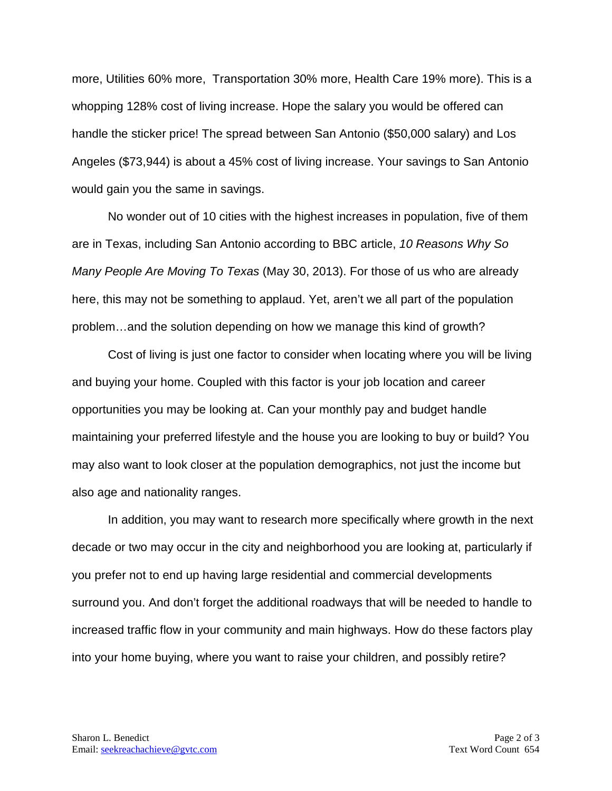more, Utilities 60% more, Transportation 30% more, Health Care 19% more). This is a whopping 128% cost of living increase. Hope the salary you would be offered can handle the sticker price! The spread between San Antonio (\$50,000 salary) and Los Angeles (\$73,944) is about a 45% cost of living increase. Your savings to San Antonio would gain you the same in savings.

No wonder out of 10 cities with the highest increases in population, five of them are in Texas, including San Antonio according to BBC article, *10 Reasons Why So Many People Are Moving To Texas* (May 30, 2013). For those of us who are already here, this may not be something to applaud. Yet, aren't we all part of the population problem…and the solution depending on how we manage this kind of growth?

Cost of living is just one factor to consider when locating where you will be living and buying your home. Coupled with this factor is your job location and career opportunities you may be looking at. Can your monthly pay and budget handle maintaining your preferred lifestyle and the house you are looking to buy or build? You may also want to look closer at the population demographics, not just the income but also age and nationality ranges.

In addition, you may want to research more specifically where growth in the next decade or two may occur in the city and neighborhood you are looking at, particularly if you prefer not to end up having large residential and commercial developments surround you. And don't forget the additional roadways that will be needed to handle to increased traffic flow in your community and main highways. How do these factors play into your home buying, where you want to raise your children, and possibly retire?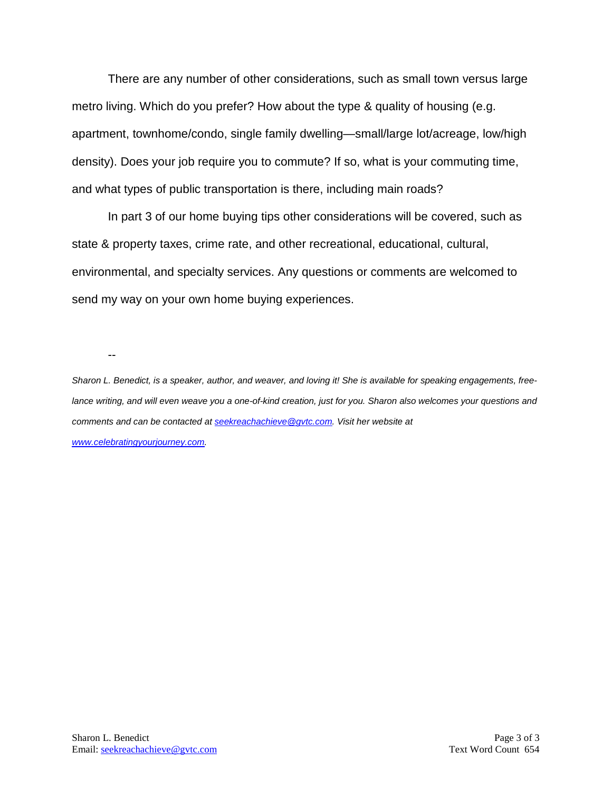There are any number of other considerations, such as small town versus large metro living. Which do you prefer? How about the type & quality of housing (e.g. apartment, townhome/condo, single family dwelling—small/large lot/acreage, low/high density). Does your job require you to commute? If so, what is your commuting time, and what types of public transportation is there, including main roads?

In part 3 of our home buying tips other considerations will be covered, such as state & property taxes, crime rate, and other recreational, educational, cultural, environmental, and specialty services. Any questions or comments are welcomed to send my way on your own home buying experiences.

--

*Sharon L. Benedict, is a speaker, author, and weaver, and loving it! She is available for speaking engagements, freelance writing, and will even weave you a one-of-kind creation, just for you. Sharon also welcomes your questions and comments and can be contacted a[t seekreachachieve@gvtc.com.](mailto:seekreachachieve@gvtc.com) Visit her website at [www.celebratingyourjourney.com.](http://www.celebratingyourjourney.com/)*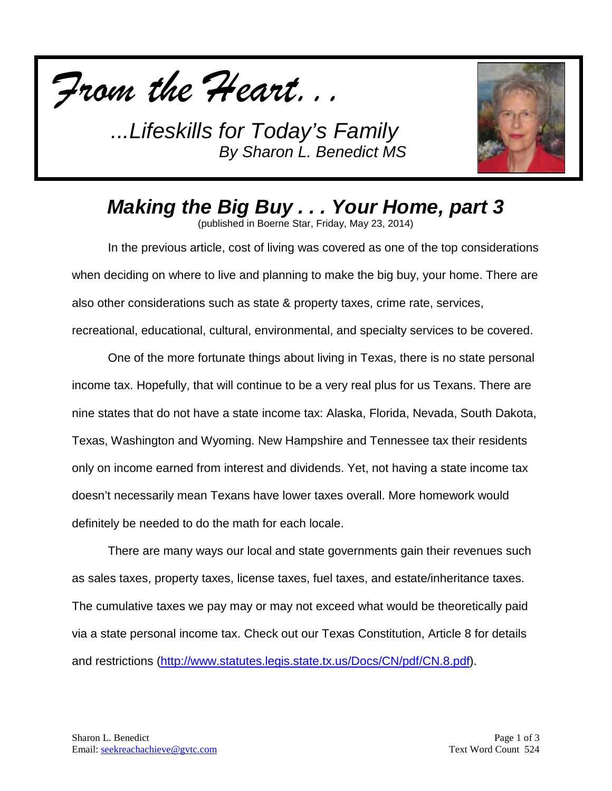



*Making the Big Buy . . . Your Home, part 3*

(published in Boerne Star, Friday, May 23, 2014)

In the previous article, cost of living was covered as one of the top considerations when deciding on where to live and planning to make the big buy, your home. There are also other considerations such as state & property taxes, crime rate, services, recreational, educational, cultural, environmental, and specialty services to be covered.

One of the more fortunate things about living in Texas, there is no state personal income tax. Hopefully, that will continue to be a very real plus for us Texans. There are nine states that do not have a state income tax: Alaska, Florida, Nevada, South Dakota, Texas, Washington and Wyoming. New Hampshire and Tennessee tax their residents only on income earned from interest and dividends. Yet, not having a state income tax doesn't necessarily mean Texans have lower taxes overall. More homework would definitely be needed to do the math for each locale.

There are many ways our local and state governments gain their revenues such as sales taxes, property taxes, license taxes, fuel taxes, and estate/inheritance taxes. The cumulative taxes we pay may or may not exceed what would be theoretically paid via a state personal income tax. Check out our Texas Constitution, Article 8 for details and restrictions [\(http://www.statutes.legis.state.tx.us/Docs/CN/pdf/CN.8.pdf\)](http://www.statutes.legis.state.tx.us/Docs/CN/pdf/CN.8.pdf).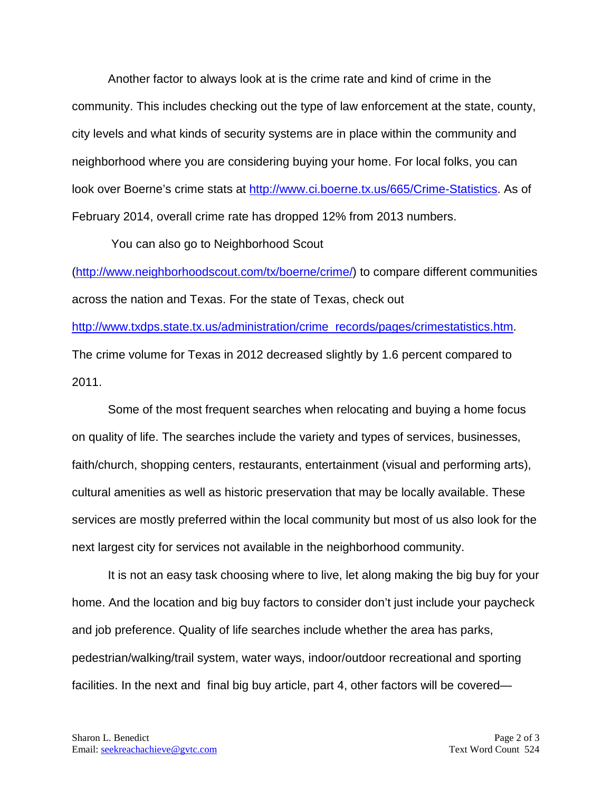Another factor to always look at is the crime rate and kind of crime in the community. This includes checking out the type of law enforcement at the state, county, city levels and what kinds of security systems are in place within the community and neighborhood where you are considering buying your home. For local folks, you can look over Boerne's crime stats at [http://www.ci.boerne.tx.us/665/Crime-Statistics.](http://www.ci.boerne.tx.us/665/Crime-Statistics) As of February 2014, overall crime rate has dropped 12% from 2013 numbers.

You can also go to Neighborhood Scout

[\(http://www.neighborhoodscout.com/tx/boerne/crime/\)](http://www.neighborhoodscout.com/tx/boerne/crime/) to compare different communities across the nation and Texas. For the state of Texas, check out

[http://www.txdps.state.tx.us/administration/crime\\_records/pages/crimestatistics.htm.](http://www.txdps.state.tx.us/administration/crime_records/pages/crimestatistics.htm) The crime volume for Texas in 2012 decreased slightly by 1.6 percent compared to 2011.

Some of the most frequent searches when relocating and buying a home focus on quality of life. The searches include the variety and types of services, businesses, faith/church, shopping centers, restaurants, entertainment (visual and performing arts), cultural amenities as well as historic preservation that may be locally available. These services are mostly preferred within the local community but most of us also look for the next largest city for services not available in the neighborhood community.

It is not an easy task choosing where to live, let along making the big buy for your home. And the location and big buy factors to consider don't just include your paycheck and job preference. Quality of life searches include whether the area has parks, pedestrian/walking/trail system, water ways, indoor/outdoor recreational and sporting facilities. In the next and final big buy article, part 4, other factors will be covered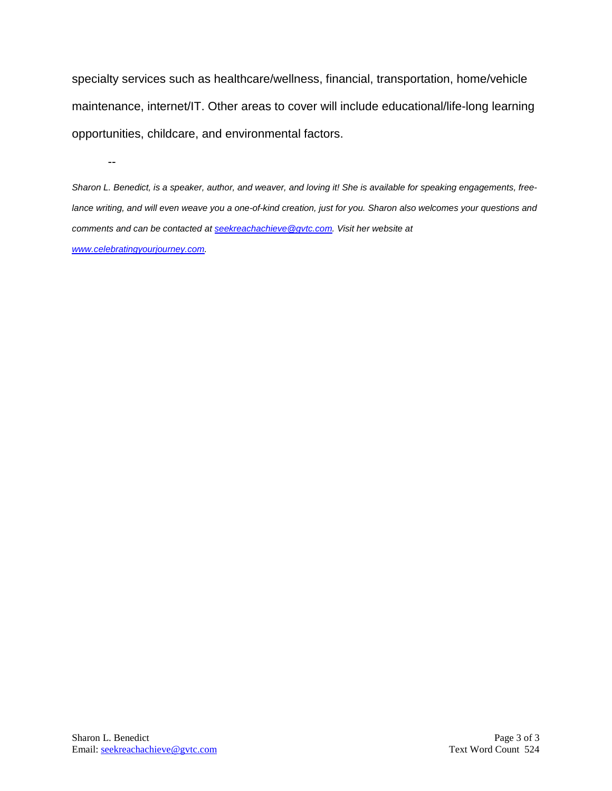specialty services such as healthcare/wellness, financial, transportation, home/vehicle maintenance, internet/IT. Other areas to cover will include educational/life-long learning opportunities, childcare, and environmental factors.

*Sharon L. Benedict, is a speaker, author, and weaver, and loving it! She is available for speaking engagements, freelance writing, and will even weave you a one-of-kind creation, just for you. Sharon also welcomes your questions and comments and can be contacted a[t seekreachachieve@gvtc.com.](mailto:seekreachachieve@gvtc.com) Visit her website at [www.celebratingyourjourney.com.](http://www.celebratingyourjourney.com/)*

--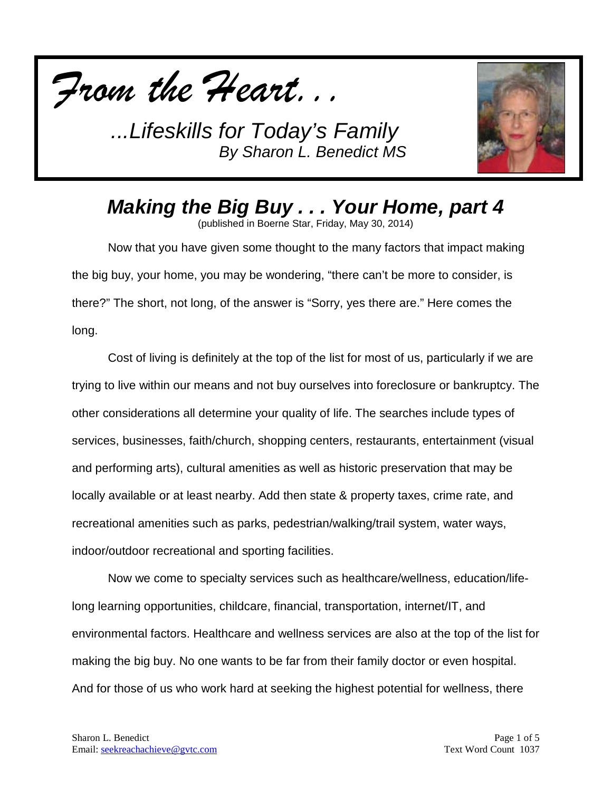



## *Making the Big Buy . . . Your Home, part 4*

(published in Boerne Star, Friday, May 30, 2014)

Now that you have given some thought to the many factors that impact making the big buy, your home, you may be wondering, "there can't be more to consider, is there?" The short, not long, of the answer is "Sorry, yes there are." Here comes the long.

Cost of living is definitely at the top of the list for most of us, particularly if we are trying to live within our means and not buy ourselves into foreclosure or bankruptcy. The other considerations all determine your quality of life. The searches include types of services, businesses, faith/church, shopping centers, restaurants, entertainment (visual and performing arts), cultural amenities as well as historic preservation that may be locally available or at least nearby. Add then state & property taxes, crime rate, and recreational amenities such as parks, pedestrian/walking/trail system, water ways, indoor/outdoor recreational and sporting facilities.

Now we come to specialty services such as healthcare/wellness, education/lifelong learning opportunities, childcare, financial, transportation, internet/IT, and environmental factors. Healthcare and wellness services are also at the top of the list for making the big buy. No one wants to be far from their family doctor or even hospital. And for those of us who work hard at seeking the highest potential for wellness, there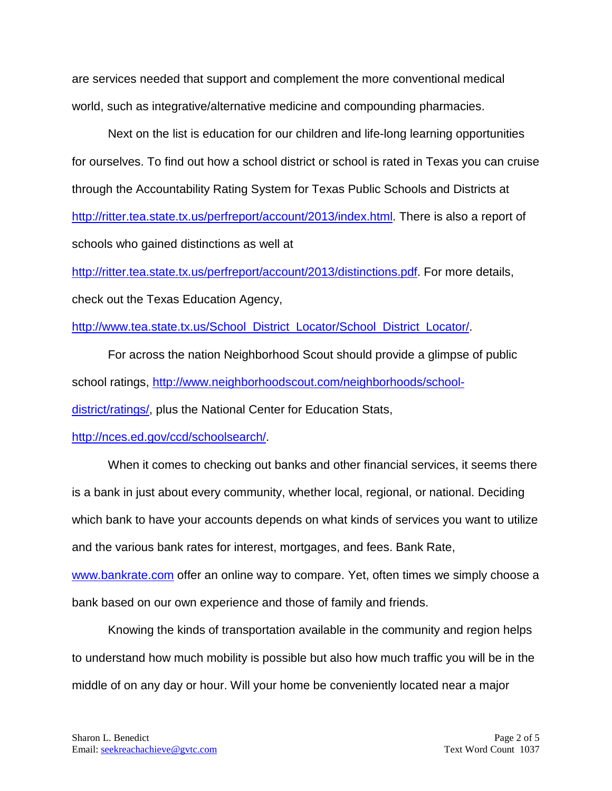are services needed that support and complement the more conventional medical world, such as integrative/alternative medicine and compounding pharmacies.

Next on the list is education for our children and life-long learning opportunities for ourselves. To find out how a school district or school is rated in Texas you can cruise through the Accountability Rating System for Texas Public Schools and Districts at [http://ritter.tea.state.tx.us/perfreport/account/2013/index.html.](http://ritter.tea.state.tx.us/perfreport/account/2013/index.html) There is also a report of schools who gained distinctions as well at

[http://ritter.tea.state.tx.us/perfreport/account/2013/distinctions.pdf.](http://ritter.tea.state.tx.us/perfreport/account/2013/distinctions.pdf) For more details, check out the Texas Education Agency,

[http://www.tea.state.tx.us/School\\_District\\_Locator/School\\_District\\_Locator/.](http://www.tea.state.tx.us/School_District_Locator/School_District_Locator/)

For across the nation Neighborhood Scout should provide a glimpse of public school ratings, [http://www.neighborhoodscout.com/neighborhoods/school-](http://www.neighborhoodscout.com/neighborhoods/school-district/ratings/)

[district/ratings/,](http://www.neighborhoodscout.com/neighborhoods/school-district/ratings/) plus the National Center for Education Stats,

[http://nces.ed.gov/ccd/schoolsearch/.](http://nces.ed.gov/ccd/schoolsearch/)

When it comes to checking out banks and other financial services, it seems there is a bank in just about every community, whether local, regional, or national. Deciding which bank to have your accounts depends on what kinds of services you want to utilize and the various bank rates for interest, mortgages, and fees. Bank Rate,

[www.bankrate.com](http://www.bankrate.com/) offer an online way to compare. Yet, often times we simply choose a bank based on our own experience and those of family and friends.

Knowing the kinds of transportation available in the community and region helps to understand how much mobility is possible but also how much traffic you will be in the middle of on any day or hour. Will your home be conveniently located near a major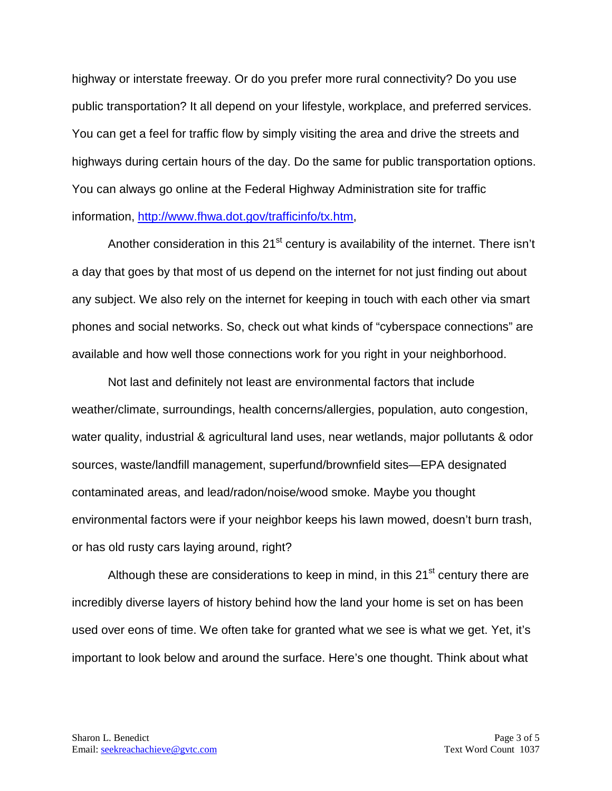highway or interstate freeway. Or do you prefer more rural connectivity? Do you use public transportation? It all depend on your lifestyle, workplace, and preferred services. You can get a feel for traffic flow by simply visiting the area and drive the streets and highways during certain hours of the day. Do the same for public transportation options. You can always go online at the Federal Highway Administration site for traffic information, [http://www.fhwa.dot.gov/trafficinfo/tx.htm,](http://www.fhwa.dot.gov/trafficinfo/tx.htm)

Another consideration in this 21<sup>st</sup> century is availability of the internet. There isn't a day that goes by that most of us depend on the internet for not just finding out about any subject. We also rely on the internet for keeping in touch with each other via smart phones and social networks. So, check out what kinds of "cyberspace connections" are available and how well those connections work for you right in your neighborhood.

Not last and definitely not least are environmental factors that include weather/climate, surroundings, health concerns/allergies, population, auto congestion, water quality, industrial & agricultural land uses, near wetlands, major pollutants & odor sources, waste/landfill management, superfund/brownfield sites—EPA designated contaminated areas, and lead/radon/noise/wood smoke. Maybe you thought environmental factors were if your neighbor keeps his lawn mowed, doesn't burn trash, or has old rusty cars laying around, right?

Although these are considerations to keep in mind, in this  $21<sup>st</sup>$  century there are incredibly diverse layers of history behind how the land your home is set on has been used over eons of time. We often take for granted what we see is what we get. Yet, it's important to look below and around the surface. Here's one thought. Think about what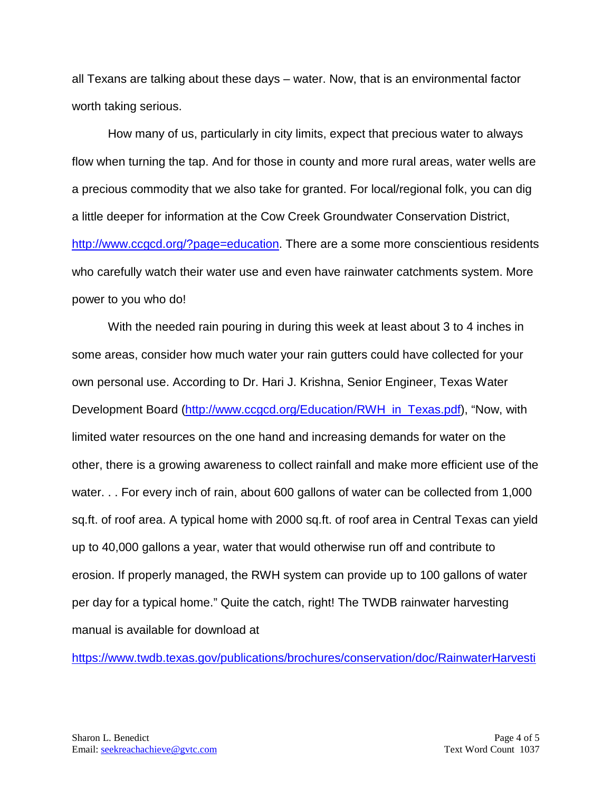all Texans are talking about these days – water. Now, that is an environmental factor worth taking serious.

How many of us, particularly in city limits, expect that precious water to always flow when turning the tap. And for those in county and more rural areas, water wells are a precious commodity that we also take for granted. For local/regional folk, you can dig a little deeper for information at the Cow Creek Groundwater Conservation District, [http://www.ccgcd.org/?page=education.](http://www.ccgcd.org/?page=education) There are a some more conscientious residents who carefully watch their water use and even have rainwater catchments system. More power to you who do!

With the needed rain pouring in during this week at least about 3 to 4 inches in some areas, consider how much water your rain gutters could have collected for your own personal use. According to Dr. Hari J. Krishna, Senior Engineer, Texas Water Development Board [\(http://www.ccgcd.org/Education/RWH\\_in\\_Texas.pdf\)](http://www.ccgcd.org/Education/RWH_in_Texas.pdf), "Now, with limited water resources on the one hand and increasing demands for water on the other, there is a growing awareness to collect rainfall and make more efficient use of the water. . . For every inch of rain, about 600 gallons of water can be collected from 1,000 sq.ft. of roof area. A typical home with 2000 sq.ft. of roof area in Central Texas can yield up to 40,000 gallons a year, water that would otherwise run off and contribute to erosion. If properly managed, the RWH system can provide up to 100 gallons of water per day for a typical home." Quite the catch, right! The TWDB rainwater harvesting manual is available for download at

[https://www.twdb.texas.gov/publications/brochures/conservation/doc/RainwaterHarvesti](https://www.twdb.texas.gov/publications/brochures/conservation/doc/RainwaterHarvestingManual_3rdedition.pdf)